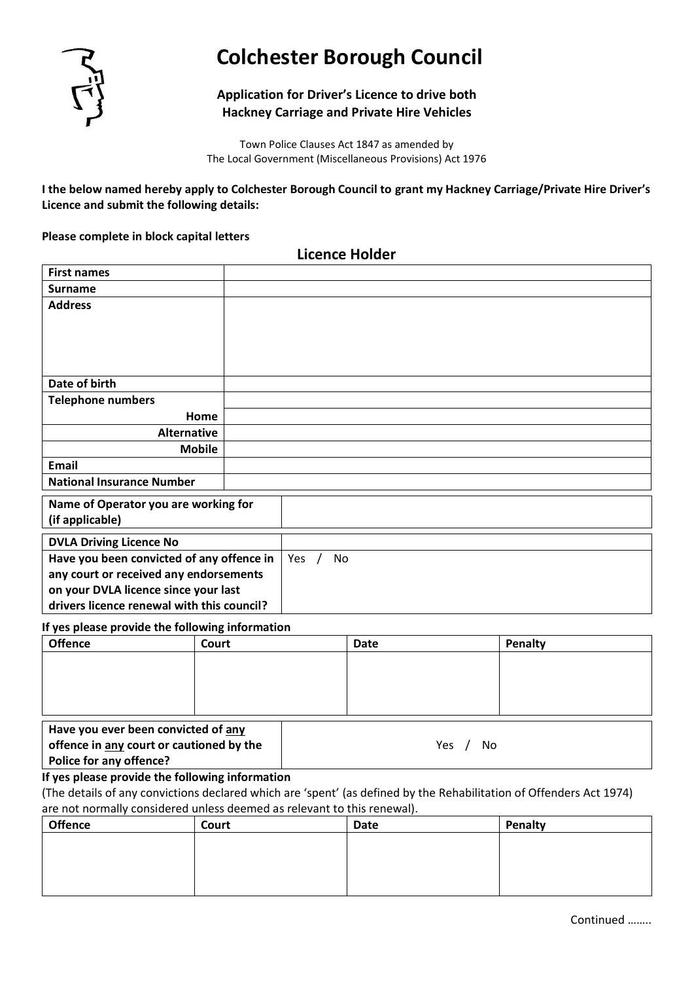

# **Colchester Borough Council**

# **Application for Driver's Licence to drive both Hackney Carriage and Private Hire Vehicles**

Town Police Clauses Act 1847 as amended by The Local Government (Miscellaneous Provisions) Act 1976

**I the below named hereby apply to Colchester Borough Council to grant my Hackney Carriage/Private Hire Driver's Licence and submit the following details:**

### **Please complete in block capital letters**

**Licence Holder**

| <b>First names</b>                         |  |     |    |  |  |  |
|--------------------------------------------|--|-----|----|--|--|--|
| <b>Surname</b>                             |  |     |    |  |  |  |
| <b>Address</b>                             |  |     |    |  |  |  |
|                                            |  |     |    |  |  |  |
|                                            |  |     |    |  |  |  |
|                                            |  |     |    |  |  |  |
|                                            |  |     |    |  |  |  |
| Date of birth                              |  |     |    |  |  |  |
| <b>Telephone numbers</b>                   |  |     |    |  |  |  |
| Home                                       |  |     |    |  |  |  |
| <b>Alternative</b>                         |  |     |    |  |  |  |
| <b>Mobile</b>                              |  |     |    |  |  |  |
| Email                                      |  |     |    |  |  |  |
| <b>National Insurance Number</b>           |  |     |    |  |  |  |
| Name of Operator you are working for       |  |     |    |  |  |  |
| (if applicable)                            |  |     |    |  |  |  |
|                                            |  |     |    |  |  |  |
| <b>DVLA Driving Licence No</b>             |  |     |    |  |  |  |
| Have you been convicted of any offence in  |  | Yes | No |  |  |  |
| any court or received any endorsements     |  |     |    |  |  |  |
| on your DVLA licence since your last       |  |     |    |  |  |  |
| drivers licence renewal with this council? |  |     |    |  |  |  |

#### **If yes please provide the following information**

| <b>Offence</b>                                                 | Court                                    | Date | Penalty   |
|----------------------------------------------------------------|------------------------------------------|------|-----------|
|                                                                |                                          |      |           |
| Have you ever been convicted of any<br>Police for any offence? | offence in any court or cautioned by the |      | Yes<br>No |

## **If yes please provide the following information**

(The details of any convictions declared which are 'spent' (as defined by the Rehabilitation of Offenders Act 1974) are not normally considered unless deemed as relevant to this renewal).

| <b>Offence</b> | Court | Date | Penalty |
|----------------|-------|------|---------|
|                |       |      |         |
|                |       |      |         |
|                |       |      |         |
|                |       |      |         |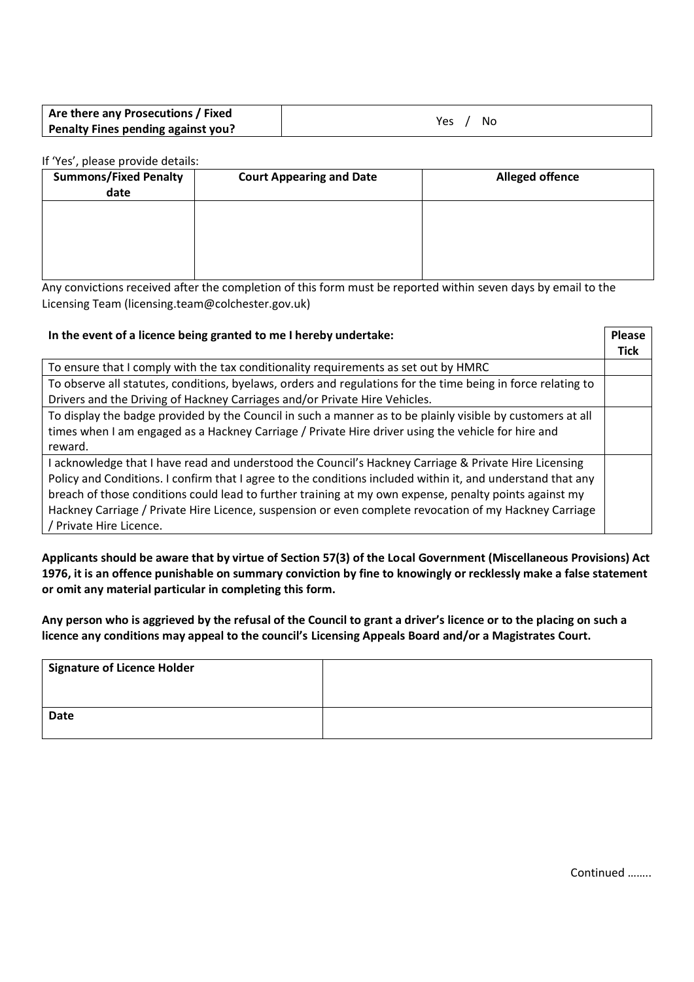| Are there any Prosecutions / Fixed | No  |
|------------------------------------|-----|
| Penalty Fines pending against you? | Yes |

### If 'Yes', please provide details:

| <b>Summons/Fixed Penalty</b><br>date | <b>Court Appearing and Date</b> | <b>Alleged offence</b> |
|--------------------------------------|---------------------------------|------------------------|
|                                      |                                 |                        |
|                                      |                                 |                        |
|                                      |                                 |                        |

Any convictions received after the completion of this form must be reported within seven days by email to the Licensing Team (licensing.team@colchester.gov.uk)

| In the event of a licence being granted to me I hereby undertake:                                            |      |  |
|--------------------------------------------------------------------------------------------------------------|------|--|
|                                                                                                              | Tick |  |
| To ensure that I comply with the tax conditionality requirements as set out by HMRC                          |      |  |
| To observe all statutes, conditions, byelaws, orders and regulations for the time being in force relating to |      |  |
| Drivers and the Driving of Hackney Carriages and/or Private Hire Vehicles.                                   |      |  |
| To display the badge provided by the Council in such a manner as to be plainly visible by customers at all   |      |  |
| times when I am engaged as a Hackney Carriage / Private Hire driver using the vehicle for hire and           |      |  |
| reward.                                                                                                      |      |  |
| I acknowledge that I have read and understood the Council's Hackney Carriage & Private Hire Licensing        |      |  |
| Policy and Conditions. I confirm that I agree to the conditions included within it, and understand that any  |      |  |
| breach of those conditions could lead to further training at my own expense, penalty points against my       |      |  |
| Hackney Carriage / Private Hire Licence, suspension or even complete revocation of my Hackney Carriage       |      |  |
| / Private Hire Licence.                                                                                      |      |  |

**Applicants should be aware that by virtue of Section 57(3) of the Local Government (Miscellaneous Provisions) Act 1976, it is an offence punishable on summary conviction by fine to knowingly or recklessly make a false statement or omit any material particular in completing this form.**

**Any person who is aggrieved by the refusal of the Council to grant a driver's licence or to the placing on such a licence any conditions may appeal to the council's Licensing Appeals Board and/or a Magistrates Court.**

| Signature of Licence Holder |  |
|-----------------------------|--|
|                             |  |
| <b>Date</b>                 |  |
|                             |  |